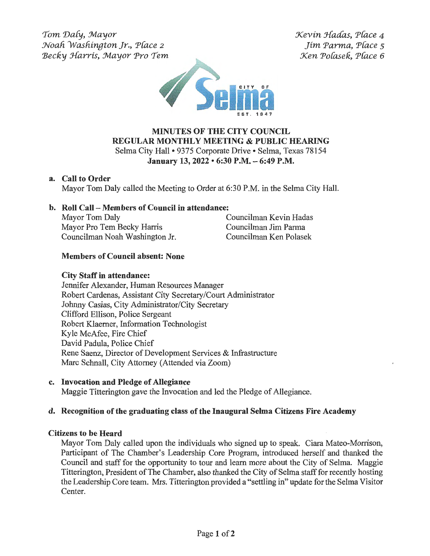$Tom$  Daly, Mayor *:Noafi Wasfiington Jr., P{ace* <sup>2</sup>  $Becky$  *Harris, Mayor Pro Tem*   $\mathcal K$ evin Hadas, Place 4 *Jim Parma, P(ace s Xen Pofuek, P(ace 6* 



## **MINUTES OF THE CITY COUNCIL REGULAR MONTHLY MEETING & PUBLIC HEARING**  Selma City Hall• 9375 Corporate Drive• Selma, Texas 78154

**January 13, 2022 • 6:30 P.M. -6:49 P.M.** 

## **a. Call to Order**

Mayor Tom Daly called the Meeting to Order at 6:30 P.M. in the Selma City Hall.

# **b. Roll Call - Members of Council in attendance:**

Mayor Tom Daly **Councilman Kevin Hadas** Mayor Pro Tern Becky Harris Councilman Jim Parma Councilman Noah Washington Jr. Councilman Ken Polasek

# **Members of Council absent: None**

## **City Staff in attendance:**

Jennifer Alexander, Human Resources Manager Robert Cardenas, Assistant City Secretary/Court Administrator Johnny Casias, City Administrator/City Secretary Clifford Ellison, Police Sergeant Robert Klaerner, Information Technologist Kyle McAfee, Fire Chief David Padula, Police Chief Rene Saenz, Director of Development Services & Infrastructure Marc Schnall, City Attorney (Attended via Zoom)

## **c. Invocation and Pledge of Allegiance**

Maggie Titterington gave the Invocation and led the Pledge of Allegiance.

## **d. Recognition of the graduating class of the Inaugural Selma Citizens Fire Academy**

## **Citizens to be Heard**

Mayor Tom Daly called upon the individuals who signed up to speak. Ciara Mateo-Morrison, Participant of The Chamber's Leadership Core Program, introduced herself and thanked the Council and staff for the opportunity to tour and learn more about the City of Selma. Maggie Titterington, President of The Chamber, also thanked the City of Selma staff for recently hosting the Leadership Core team. Mrs. Titterington provided a "settling in" update for the Selma Visitor Center.